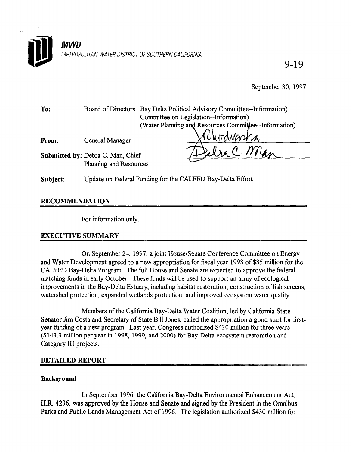

9-19

September 30, 1997

To: Board of Directors Bay Delta Political Advisory Committee--Information) Committee on Legislation--Information) (Water Planning and Resources Committee--Information)

From: General Manager

Submitted by: Debra C. Man, Chief Planning and Resources

Subject: Update on Federal Funding for the CALFED Bay-Delta Effort

# RECOMMENDATION

For information only.

# EXECUTIVE SUMMARY

On September 24, 1997, a joint House/Senate Conference Committee on Energy on September 27, 1997, a joint House Behave Concrete Committee in Energy and water Development agreed to a new appropriation for fiscal year 1996 of 569 minion for CALFED Bay-Delta Program. The full House and Senate are expected to approve the federal matching funds in early October. These funds will be used to support an array of ecological improvements in the Bay-Delta Estuary, including habitat restoration, construction of fish screens, watershed protection, expanded wetlands protection, and improved ecosystem water quality.

Members of the California Bay-Delta Water Coalition, led by California State Senator Jim Costa and Secretary of State Bill Jones, called the appropriation a good start for firstyear funding of a new program. Last year, Congress authorized \$430 million for three years (\$143.3 million per year in 1998, 1999, and 2000) for Bay-Delta ecosystem restoration and Category III projects.

# **DETAILED REPORT**

# **Background**

In September 1996, the California Bay-Delta Environmental Enhancement Act, H.R. 4236, was approved by the House and Senate and signed by the President in the Omnibus Parks and Public Lands Management Act of 1996. The legislation authorized \$430 million for